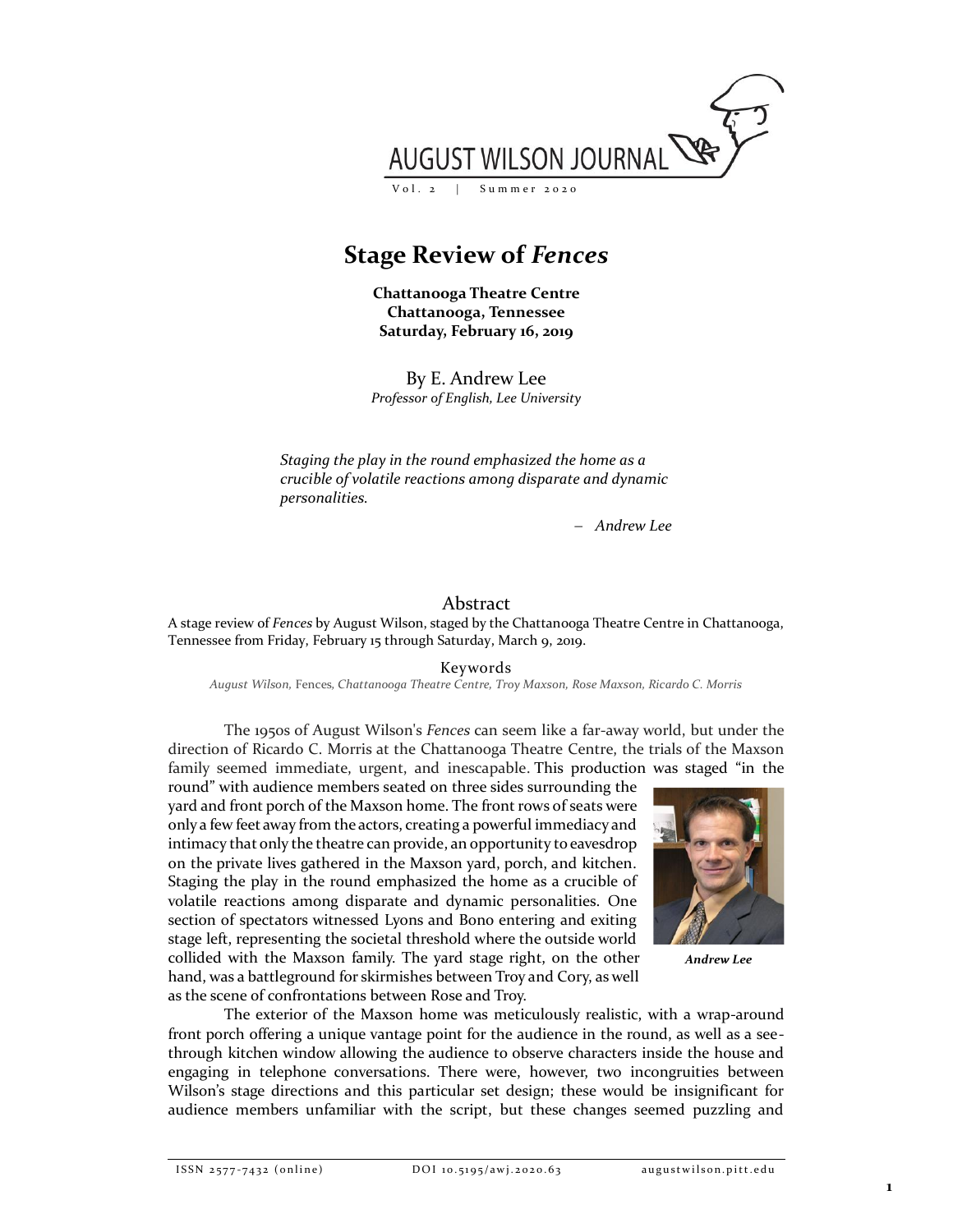

## **Stage Review of** *Fences*

**Chattanooga Theatre Centre Chattanooga, Tennessee Saturday, February 16, 2019**

By E. Andrew Lee *Professor of English, Lee University*

*Staging the play in the round emphasized the home as a crucible of volatile reactions among disparate and dynamic personalities.*

− *Andrew Lee*

## Abstract

A stage review of *Fences* by August Wilson, staged by the Chattanooga Theatre Centre in Chattanooga, Tennessee from Friday, February 15 through Saturday, March 9, 2019.

Keywords

*August Wilson,* Fences*, Chattanooga Theatre Centre, Troy Maxson, Rose Maxson, Ricardo C. Morris*

The 1950s of August Wilson's *Fences* can seem like a far-away world, but under the direction of Ricardo C. Morris at the Chattanooga Theatre Centre, the trials of the Maxson family seemed immediate, urgent, and inescapable. This production was staged "in the

round" with audience members seated on three sides surrounding the yard and front porch of the Maxson home. The front rows of seats were only a few feet away from the actors, creating a powerful immediacy and intimacy that only the theatre can provide, an opportunity to eavesdrop on the private lives gathered in the Maxson yard, porch, and kitchen. Staging the play in the round emphasized the home as a crucible of volatile reactions among disparate and dynamic personalities. One section of spectators witnessed Lyons and Bono entering and exiting stage left, representing the societal threshold where the outside world collided with the Maxson family. The yard stage right, on the other hand, was a battleground for skirmishes between Troy and Cory, as well as the scene of confrontations between Rose and Troy.



*Andrew Lee*

The exterior of the Maxson home was meticulously realistic, with a wrap-around front porch offering a unique vantage point for the audience in the round, as well as a seethrough kitchen window allowing the audience to observe characters inside the house and engaging in telephone conversations. There were, however, two incongruities between Wilson's stage directions and this particular set design; these would be insignificant for audience members unfamiliar with the script, but these changes seemed puzzling and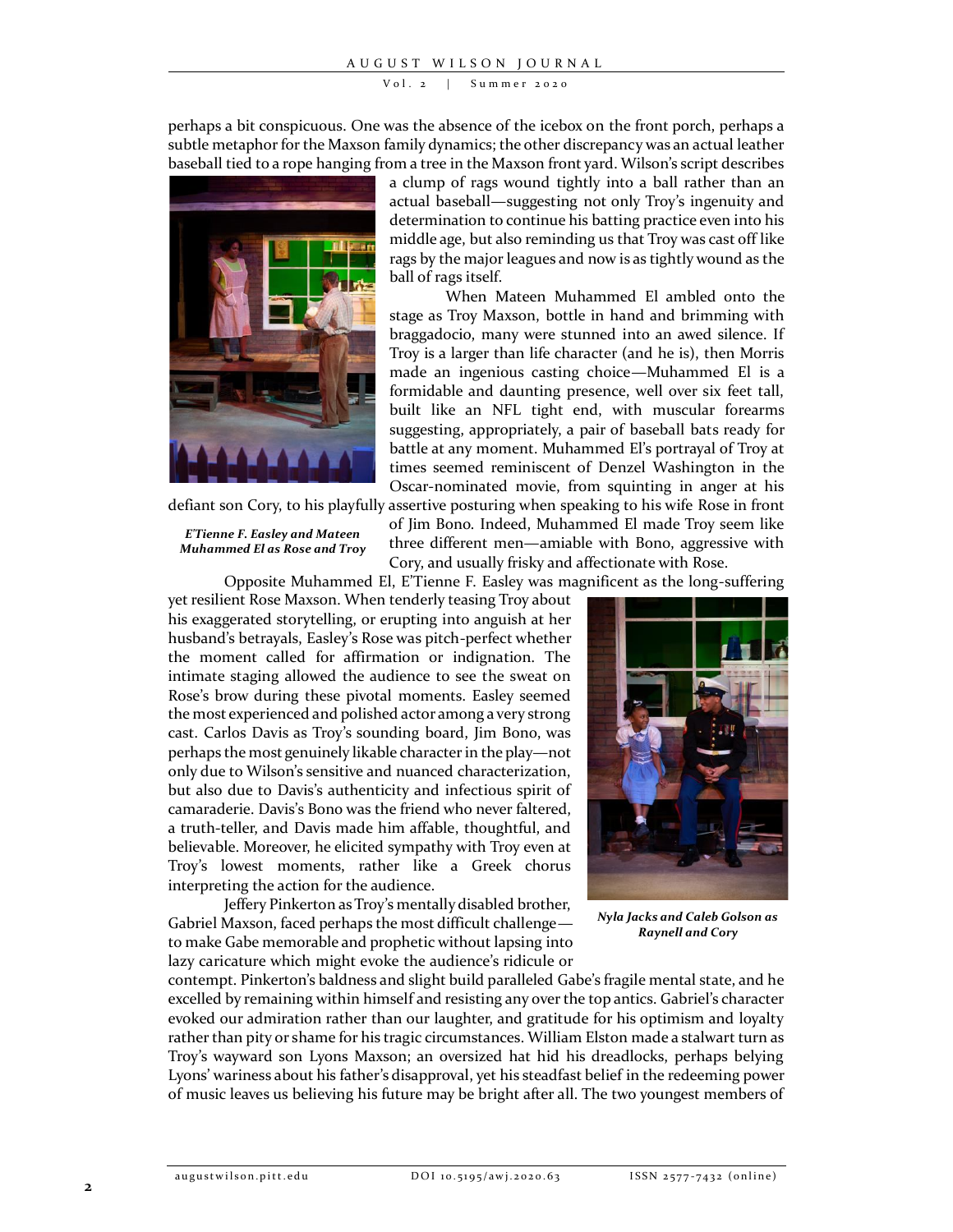$Vol. 2$  | Summer 2020

perhaps a bit conspicuous. One was the absence of the icebox on the front porch, perhaps a subtle metaphor for the Maxson family dynamics; the other discrepancy was an actual leather baseball tied to a rope hanging from a tree in the Maxson front yard. Wilson's script describes



defiant son Cory, to his playfully assertive posturing when speaking to his wife Rose in front

*E'Tienne F. Easley and Mateen Muhammed El as Rose and Troy* a clump of rags wound tightly into a ball rather than an actual baseball—suggesting not only Troy's ingenuity and determination to continue his batting practice even into his middle age, but also reminding us that Troy was cast off like rags by the major leagues and now is as tightly wound as the ball of rags itself.

When Mateen Muhammed El ambled onto the stage as Troy Maxson, bottle in hand and brimming with braggadocio, many were stunned into an awed silence. If Troy is a larger than life character (and he is), then Morris made an ingenious casting choice—Muhammed El is a formidable and daunting presence, well over six feet tall, built like an NFL tight end, with muscular forearms suggesting, appropriately, a pair of baseball bats ready for battle at any moment. Muhammed El's portrayal of Troy at times seemed reminiscent of Denzel Washington in the Oscar-nominated movie, from squinting in anger at his

of Jim Bono. Indeed, Muhammed El made Troy seem like three different men—amiable with Bono, aggressive with Cory, and usually frisky and affectionate with Rose.

Opposite Muhammed El, E'Tienne F. Easley was magnificent as the long-suffering

yet resilient Rose Maxson. When tenderly teasing Troy about his exaggerated storytelling, or erupting into anguish at her husband's betrayals, Easley's Rose was pitch-perfect whether the moment called for affirmation or indignation. The intimate staging allowed the audience to see the sweat on Rose's brow during these pivotal moments. Easley seemed the most experienced and polished actor among a very strong cast. Carlos Davis as Troy's sounding board, Jim Bono, was perhaps the most genuinely likable character in the play—not only due to Wilson's sensitive and nuanced characterization, but also due to Davis's authenticity and infectious spirit of camaraderie. Davis's Bono was the friend who never faltered, a truth-teller, and Davis made him affable, thoughtful, and believable. Moreover, he elicited sympathy with Troy even at Troy's lowest moments, rather like a Greek chorus interpreting the action for the audience.

Jeffery Pinkerton as Troy's mentally disabled brother, Gabriel Maxson, faced perhaps the most difficult challenge to make Gabe memorable and prophetic without lapsing into lazy caricature which might evoke the audience's ridicule or



*Nyla Jacks and Caleb Golson as Raynell and Cory*

contempt. Pinkerton's baldness and slight build paralleled Gabe's fragile mental state, and he excelled by remaining within himself and resisting any over the top antics. Gabriel's character evoked our admiration rather than our laughter, and gratitude for his optimism and loyalty rather than pity or shame for his tragic circumstances. William Elston made a stalwart turn as Troy's wayward son Lyons Maxson; an oversized hat hid his dreadlocks, perhaps belying Lyons' wariness about his father's disapproval, yet his steadfast belief in the redeeming power of music leaves us believing his future may be bright after all. The two youngest members of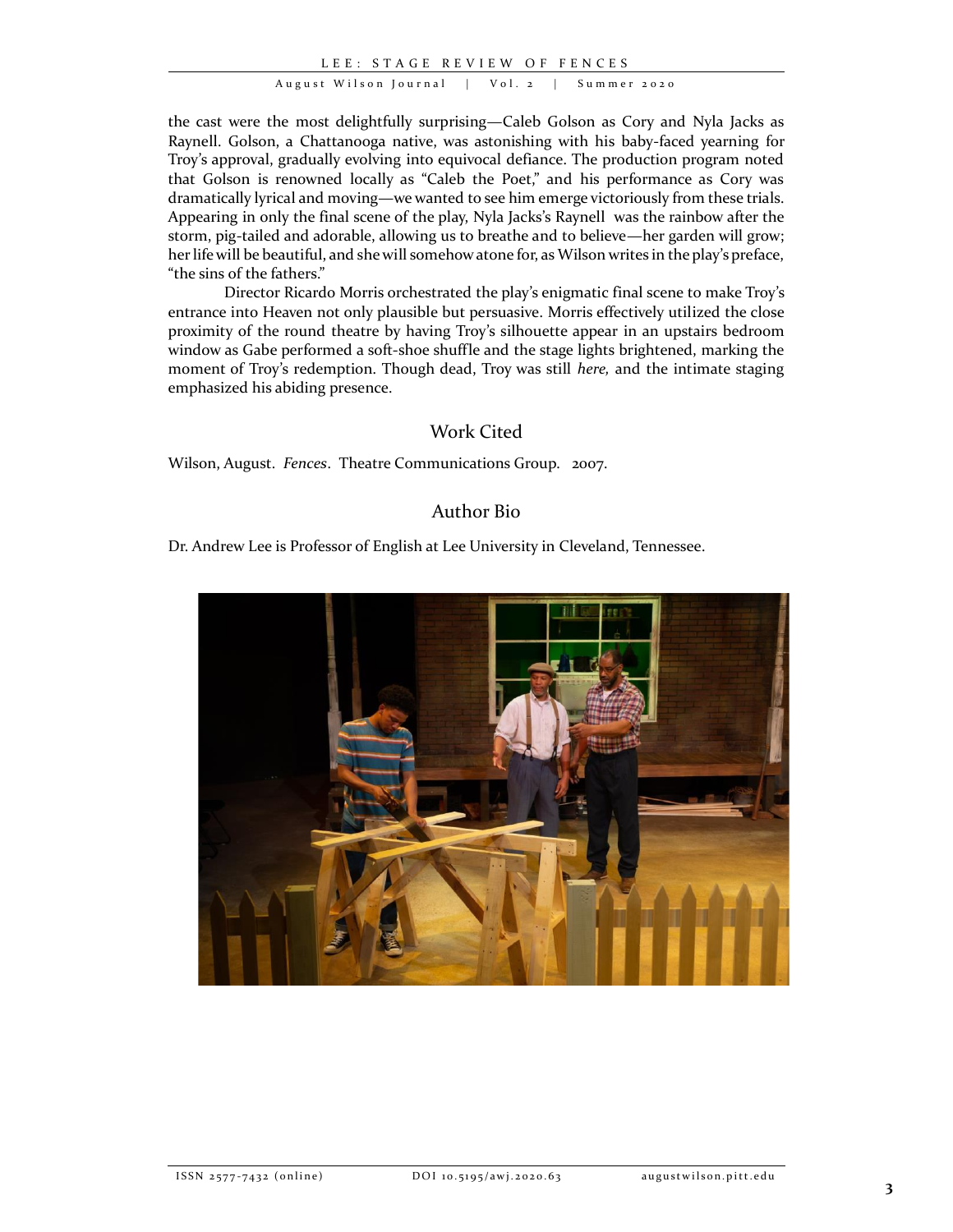L E E : S T A G E R E V I E W O F F E N C E S

August Wilson Journal | Vol. 2 | Summer 2020

the cast were the most delightfully surprising—Caleb Golson as Cory and Nyla Jacks as Raynell. Golson, a Chattanooga native, was astonishing with his baby-faced yearning for Troy's approval, gradually evolving into equivocal defiance. The production program noted that Golson is renowned locally as "Caleb the Poet," and his performance as Cory was dramatically lyrical and moving—we wanted to see him emerge victoriously from these trials. Appearing in only the final scene of the play, Nyla Jacks's Raynell was the rainbow after the storm, pig-tailed and adorable, allowing us to breathe and to believe—her garden will grow; her life will be beautiful, and she will somehow atone for, as Wilson writes in the play's preface, "the sins of the fathers."

Director Ricardo Morris orchestrated the play's enigmatic final scene to make Troy's entrance into Heaven not only plausible but persuasive. Morris effectively utilized the close proximity of the round theatre by having Troy's silhouette appear in an upstairs bedroom window as Gabe performed a soft-shoe shuffle and the stage lights brightened, marking the moment of Troy's redemption. Though dead, Troy was still *here,* and the intimate staging emphasized his abiding presence.

## Work Cited

Wilson, August. *Fences*. Theatre Communications Group. 2007.

## Author Bio

Dr. Andrew Lee is Professor of English at Lee University in Cleveland, Tennessee.